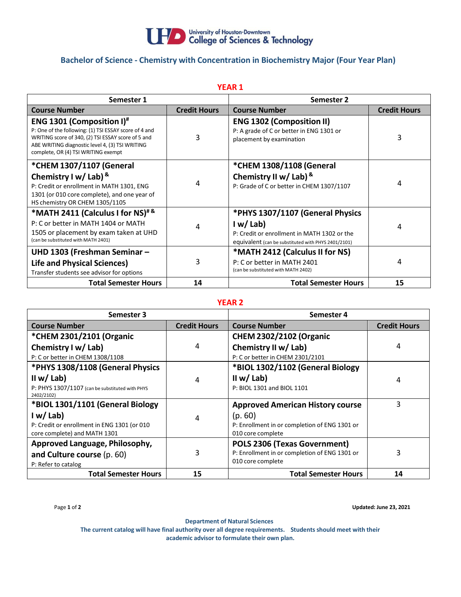

# **Bachelor of Science - Chemistry with Concentration in Biochemistry Major (Four Year Plan)**

| <b>YEAR 1</b>                                                                                                                                                                                                                                         |                     |                                                                                                                                                   |                     |  |  |
|-------------------------------------------------------------------------------------------------------------------------------------------------------------------------------------------------------------------------------------------------------|---------------------|---------------------------------------------------------------------------------------------------------------------------------------------------|---------------------|--|--|
| Semester 1                                                                                                                                                                                                                                            |                     | Semester 2                                                                                                                                        |                     |  |  |
| <b>Course Number</b>                                                                                                                                                                                                                                  | <b>Credit Hours</b> | <b>Course Number</b>                                                                                                                              | <b>Credit Hours</b> |  |  |
| <b>ENG 1301 (Composition I)</b> <sup>#</sup><br>P: One of the following: (1) TSI ESSAY score of 4 and<br>WRITING score of 340, (2) TSI ESSAY score of 5 and<br>ABE WRITING diagnostic level 4, (3) TSI WRITING<br>complete, OR (4) TSI WRITING exempt | 3                   | <b>ENG 1302 (Composition II)</b><br>P: A grade of C or better in ENG 1301 or<br>placement by examination                                          | 3                   |  |  |
| *CHEM 1307/1107 (General<br>Chemistry I w/ Lab) &<br>P: Credit or enrollment in MATH 1301, ENG<br>1301 (or 010 core complete), and one year of<br>HS chemistry OR CHEM 1305/1105                                                                      | 4                   | *CHEM 1308/1108 (General<br>Chemistry II w/ Lab) &<br>P: Grade of C or better in CHEM 1307/1107                                                   | 4                   |  |  |
| *MATH 2411 (Calculus I for NS)#&<br>P: C or better in MATH 1404 or MATH<br>1505 or placement by exam taken at UHD<br>(can be substituted with MATH 2401)                                                                                              | 4                   | *PHYS 1307/1107 (General Physics<br>I w/Lab<br>P: Credit or enrollment in MATH 1302 or the<br>equivalent (can be substituted with PHYS 2401/2101) | 4                   |  |  |
| UHD 1303 (Freshman Seminar -<br><b>Life and Physical Sciences)</b><br>Transfer students see advisor for options                                                                                                                                       | 3                   | *MATH 2412 (Calculus II for NS)<br>P: C or better in MATH 2401<br>(can be substituted with MATH 2402)                                             | 4                   |  |  |
| <b>Total Semester Hours</b>                                                                                                                                                                                                                           | 14                  | <b>Total Semester Hours</b>                                                                                                                       | 15                  |  |  |

### **YEAR 2**

| Semester 3                                                    |                     | Semester 4                                    |                     |
|---------------------------------------------------------------|---------------------|-----------------------------------------------|---------------------|
| <b>Course Number</b>                                          | <b>Credit Hours</b> | <b>Course Number</b>                          | <b>Credit Hours</b> |
| *CHEM 2301/2101 (Organic                                      |                     | <b>CHEM 2302/2102 (Organic</b>                |                     |
| Chemistry I w/ Lab)                                           | 4                   | Chemistry II w/ Lab)                          | 4                   |
| P: C or better in CHEM 1308/1108                              |                     | P: C or better in CHEM 2301/2101              |                     |
| *PHYS 1308/1108 (General Physics                              |                     | *BIOL 1302/1102 (General Biology              |                     |
| II w/ Lab)                                                    | 4                   | II w/ Lab)                                    | 4                   |
| P: PHYS 1307/1107 (can be substituted with PHYS<br>2402/2102) |                     | P: BIOL 1301 and BIOL 1101                    |                     |
| *BIOL 1301/1101 (General Biology                              |                     | <b>Approved American History course</b>       | 3                   |
| I w/Lab                                                       | 4                   | (p.60)                                        |                     |
| P: Credit or enrollment in ENG 1301 (or 010                   |                     | P: Enrollment in or completion of ENG 1301 or |                     |
| core complete) and MATH 1301                                  |                     | 010 core complete                             |                     |
| Approved Language, Philosophy,                                |                     | POLS 2306 (Texas Government)                  |                     |
| and Culture course (p. 60)                                    | 3                   | P: Enrollment in or completion of ENG 1301 or | 3                   |
| P: Refer to catalog                                           |                     | 010 core complete                             |                     |
| <b>Total Semester Hours</b>                                   | 15                  | <b>Total Semester Hours</b>                   | 14                  |

Page **1** of **2 Updated: June 23, 2021**

**Department of Natural Sciences**

**The current catalog will have final authority over all degree requirements. Students should meet with their academic advisor to formulate their own plan.**